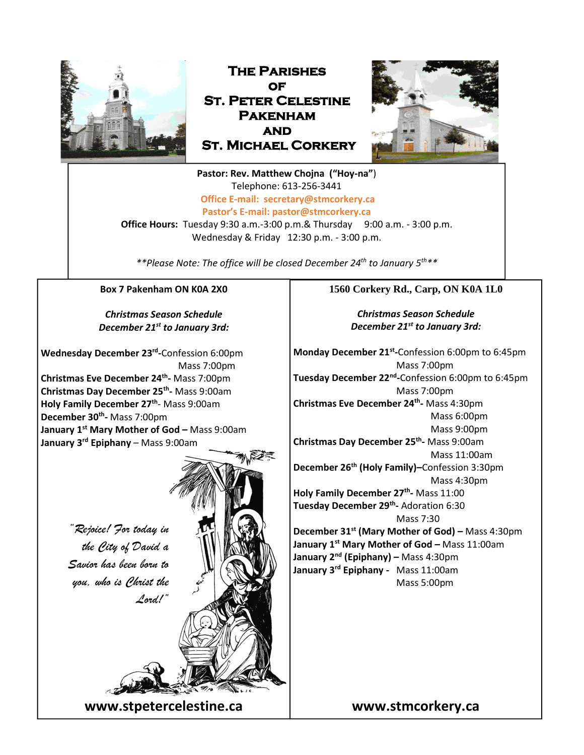

**The Parishes of St. Peter Celestine Pakenham and St. Michael Corkery** 



**Pastor: Rev. Matthew Chojna ("Hoy-na"**) Telephone: 613-256-3441 **Office E-mail: secretary@stmcorkery.ca Pastor's E-mail: pastor@stmcorkery.ca**

**Office Hours:** Tuesday 9:30 a.m.-3:00 p.m.& Thursday 9:00 a.m. - 3:00 p.m. Wednesday & Friday 12:30 p.m. - 3:00 p.m.

*\*\*Please Note: The office will be closed December 24th to January 5th\*\**

### **Box 7 Pakenham ON K0A 2X0**

*Christmas Season Schedule December 21st to January 3rd:*

**Wednesday December 23 rd -**Confession 6:00pm Mass 7:00pm **Christmas Eve December 24th -** Mass 7:00pm **Christmas Day December 25th -** Mass 9:00am **Holy Family December 27th** - Mass 9:00am **December 30th -** Mass 7:00pm **January 1st Mary Mother of God –** Mass 9:00am **January 3rd Epiphany** – Mass 9:00am



### **1560 Corkery Rd., Carp, ON K0A 1L0**

*Christmas Season Schedule December 21st to January 3rd:*

**Monday December 21st -**Confession 6:00pm to 6:45pm Mass 7:00pm **Tuesday December 22nd -**Confession 6:00pm to 6:45pm Mass 7:00pm **Christmas Eve December 24th -** Mass 4:30pm Mass 6:00pm Mass 9:00pm **Christmas Day December 25th -** Mass 9:00am Mass 11:00am **December 26th (Holy Family)–**Confession 3:30pm Mass 4:30pm **Holy Family December 27th -** Mass 11:00 **Tuesday December 29th -** Adoration 6:30 Mass 7:30 **December 31st (Mary Mother of God) –** Mass 4:30pm **January 1st Mary Mother of God –** Mass 11:00am **January 2nd (Epiphany) –** Mass 4:30pm **January 3rd Epiphany -** Mass 11:00am Mass 5:00pm

**www.stmcorkery.ca**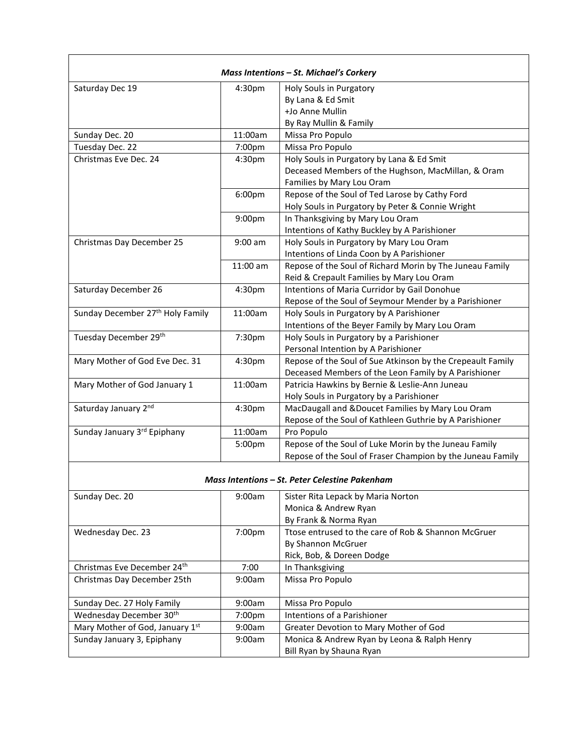| <b>Mass Intentions - St. Michael's Corkery</b> |                    |                                                            |
|------------------------------------------------|--------------------|------------------------------------------------------------|
| Saturday Dec 19                                | 4:30pm             | Holy Souls in Purgatory                                    |
|                                                |                    | By Lana & Ed Smit                                          |
|                                                |                    | +Jo Anne Mullin                                            |
|                                                |                    | By Ray Mullin & Family                                     |
| Sunday Dec. 20                                 | 11:00am            | Missa Pro Populo                                           |
| Tuesday Dec. 22                                | 7:00pm             | Missa Pro Populo                                           |
| Christmas Eve Dec. 24                          | 4:30pm             | Holy Souls in Purgatory by Lana & Ed Smit                  |
|                                                |                    | Deceased Members of the Hughson, MacMillan, & Oram         |
|                                                |                    | Families by Mary Lou Oram                                  |
|                                                | 6:00pm             | Repose of the Soul of Ted Larose by Cathy Ford             |
|                                                |                    | Holy Souls in Purgatory by Peter & Connie Wright           |
|                                                | 9:00pm             | In Thanksgiving by Mary Lou Oram                           |
|                                                |                    | Intentions of Kathy Buckley by A Parishioner               |
| Christmas Day December 25                      | $9:00$ am          | Holy Souls in Purgatory by Mary Lou Oram                   |
|                                                |                    | Intentions of Linda Coon by A Parishioner                  |
|                                                | 11:00 am           | Repose of the Soul of Richard Morin by The Juneau Family   |
|                                                |                    | Reid & Crepault Families by Mary Lou Oram                  |
| Saturday December 26                           | 4:30pm             | Intentions of Maria Curridor by Gail Donohue               |
|                                                |                    | Repose of the Soul of Seymour Mender by a Parishioner      |
| Sunday December 27 <sup>th</sup> Holy Family   | 11:00am            | Holy Souls in Purgatory by A Parishioner                   |
|                                                |                    | Intentions of the Beyer Family by Mary Lou Oram            |
| Tuesday December 29th                          | 7:30pm             | Holy Souls in Purgatory by a Parishioner                   |
|                                                |                    | Personal Intention by A Parishioner                        |
| Mary Mother of God Eve Dec. 31                 | 4:30pm             | Repose of the Soul of Sue Atkinson by the Crepeault Family |
|                                                |                    | Deceased Members of the Leon Family by A Parishioner       |
| Mary Mother of God January 1                   | 11:00am            | Patricia Hawkins by Bernie & Leslie-Ann Juneau             |
|                                                |                    | Holy Souls in Purgatory by a Parishioner                   |
| Saturday January 2nd                           | 4:30 <sub>pm</sub> | MacDaugall and &Doucet Families by Mary Lou Oram           |
|                                                |                    | Repose of the Soul of Kathleen Guthrie by A Parishioner    |
| Sunday January 3rd Epiphany                    | 11:00am            | Pro Populo                                                 |
|                                                | 5:00pm             | Repose of the Soul of Luke Morin by the Juneau Family      |
|                                                |                    | Repose of the Soul of Fraser Champion by the Juneau Family |

#### *Mass Intentions – St. Peter Celestine Pakenham*

| Sunday Dec. 20                  | 9:00am             | Sister Rita Lepack by Maria Norton                  |
|---------------------------------|--------------------|-----------------------------------------------------|
|                                 |                    | Monica & Andrew Ryan                                |
|                                 |                    | By Frank & Norma Ryan                               |
| Wednesday Dec. 23               | 7:00 <sub>pm</sub> | Ttose entrused to the care of Rob & Shannon McGruer |
|                                 |                    | By Shannon McGruer                                  |
|                                 |                    | Rick, Bob, & Doreen Dodge                           |
| Christmas Eve December 24th     | 7:00               | In Thanksgiving                                     |
| Christmas Day December 25th     | 9:00am             | Missa Pro Populo                                    |
|                                 |                    |                                                     |
| Sunday Dec. 27 Holy Family      | 9:00am             | Missa Pro Populo                                    |
| Wednesday December 30th         | 7:00 <sub>pm</sub> | Intentions of a Parishioner                         |
| Mary Mother of God, January 1st | 9:00am             | Greater Devotion to Mary Mother of God              |
| Sunday January 3, Epiphany      | 9:00am             | Monica & Andrew Ryan by Leona & Ralph Henry         |
|                                 |                    | Bill Ryan by Shauna Ryan                            |